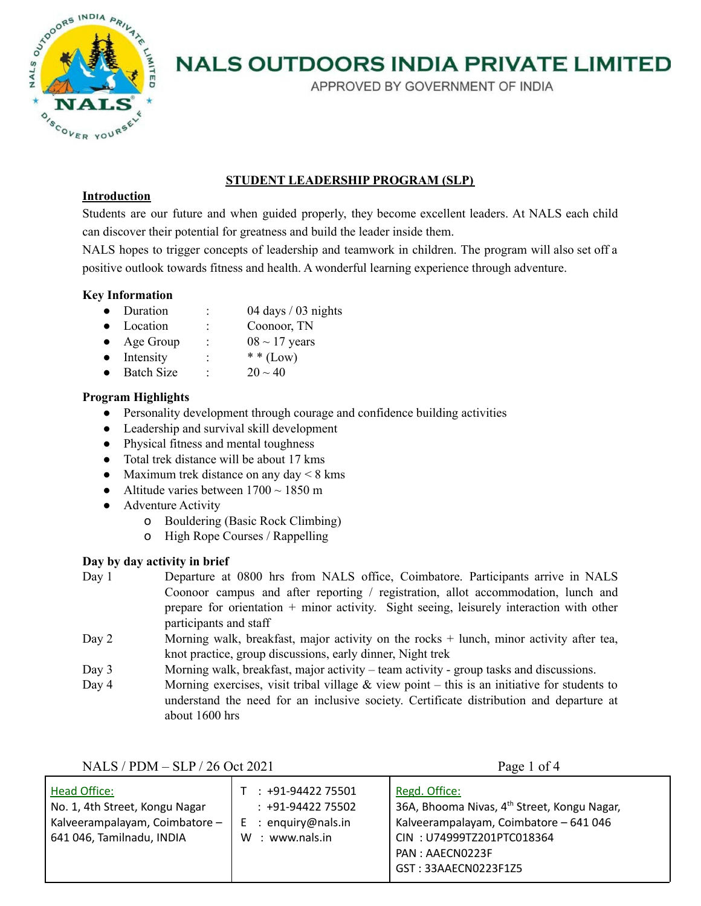

APPROVED BY GOVERNMENT OF INDIA

## **STUDENT LEADERSHIP PROGRAM (SLP)**

## **Introduction**

Students are our future and when guided properly, they become excellent leaders. At NALS each child can discover their potential for greatness and build the leader inside them.

NALS hopes to trigger concepts of leadership and teamwork in children. The program will also set off a positive outlook towards fitness and health. A wonderful learning experience through adventure.

## **Key Information**

- Duration : 04 days / 03 nights
- Location : Coonoor, TN
- Age Group :  $08 \sim 17$  years
- Intensity :  $**$  (Low)
- Batch Size :  $20 \sim 40$

## **Program Highlights**

- Personality development through courage and confidence building activities
- Leadership and survival skill development
- Physical fitness and mental toughness
- Total trek distance will be about 17 kms
- Maximum trek distance on any day  $< 8$  kms
- Altitude varies between  $1700 \sim 1850$  m
- Adventure Activity
	- o Bouldering (Basic Rock Climbing)
	- o High Rope Courses / Rappelling

## **Day by day activity in brief**

- Day 1 Departure at 0800 hrs from NALS office, Coimbatore. Participants arrive in NALS Coonoor campus and after reporting / registration, allot accommodation, lunch and prepare for orientation + minor activity. Sight seeing, leisurely interaction with other participants and staff
- Day 2 Morning walk, breakfast, major activity on the rocks + lunch, minor activity after tea, knot practice, group discussions, early dinner, Night trek
- Day 3 Morning walk, breakfast, major activity team activity group tasks and discussions.
- Day 4 Morning exercises, visit tribal village  $\&$  view point this is an initiative for students to understand the need for an inclusive society. Certificate distribution and departure at about 1600 hrs

Head Office: No. 1, 4th Street, Kongu Nagar Kalveerampalayam, Coimbatore – 641 046, Tamilnadu, INDIA T : +91-94422 75501 : +91-94422 75502 E : enquiry@nals.in W : www.nals.in Regd. Office: 36A, Bhooma Nivas, 4<sup>th</sup> Street, Kongu Nagar, Kalveerampalayam, Coimbatore – 641 046 CIN : U74999TZ201PTC018364 PAN : AAECN0223F GST : 33AAECN0223F1Z5

NALS / PDM – SLP / 26 Oct 2021 Page 1 of 4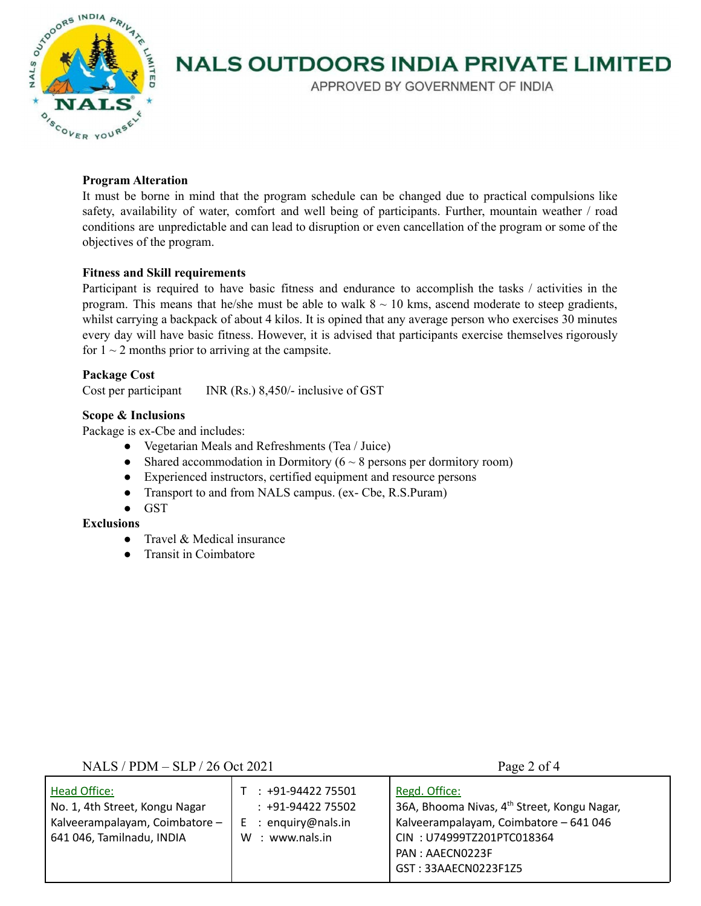

APPROVED BY GOVERNMENT OF INDIA

#### **Program Alteration**

It must be borne in mind that the program schedule can be changed due to practical compulsions like safety, availability of water, comfort and well being of participants. Further, mountain weather / road conditions are unpredictable and can lead to disruption or even cancellation of the program or some of the objectives of the program.

#### **Fitness and Skill requirements**

Participant is required to have basic fitness and endurance to accomplish the tasks / activities in the program. This means that he/she must be able to walk  $8 \sim 10$  kms, ascend moderate to steep gradients, whilst carrying a backpack of about 4 kilos. It is opined that any average person who exercises 30 minutes every day will have basic fitness. However, it is advised that participants exercise themselves rigorously for  $1 \sim 2$  months prior to arriving at the campsite.

#### **Package Cost**

Cost per participant INR (Rs.) 8,450/- inclusive of GST

#### **Scope & Inclusions**

Package is ex-Cbe and includes:

- Vegetarian Meals and Refreshments (Tea / Juice)
- Shared accommodation in Dormitory ( $6 \sim 8$  persons per dormitory room)
- Experienced instructors, certified equipment and resource persons
- Transport to and from NALS campus. (ex- Cbe, R.S.Puram)
- GST

#### **Exclusions**

- Travel & Medical insurance
- Transit in Coimbatore

#### NALS / PDM – SLP / 26 Oct 2021 Page 2 of 4

| Head Office:<br>No. 1, 4th Street, Kongu Nagar<br>Kalveerampalayam, Coimbatore -<br>641 046, Tamilnadu, INDIA | $: +91-9442275501$<br>$: +91-9442275502$<br>$E$ : enguiry@nals.in<br>: www.nals.in<br>W | Regd. Office:<br>36A, Bhooma Nivas, 4 <sup>th</sup> Street, Kongu Nagar,<br>Kalveerampalayam, Coimbatore - 641 046<br>CIN: U74999TZ201PTC018364<br>PAN: AAECN0223F |
|---------------------------------------------------------------------------------------------------------------|-----------------------------------------------------------------------------------------|--------------------------------------------------------------------------------------------------------------------------------------------------------------------|
|                                                                                                               |                                                                                         | GST: 33AAECN0223F1Z5                                                                                                                                               |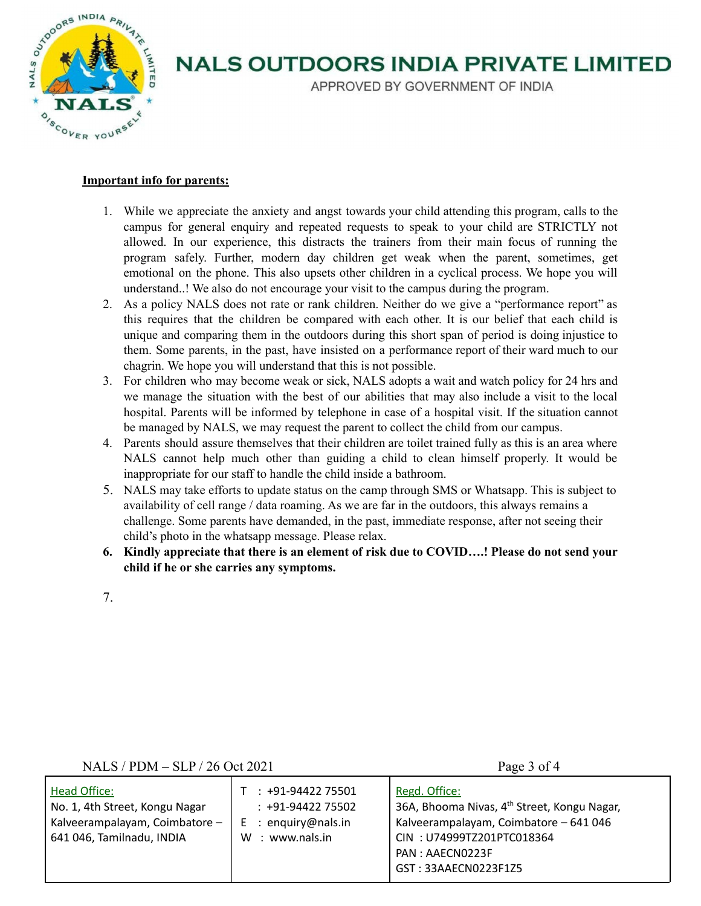

APPROVED BY GOVERNMENT OF INDIA

#### **Important info for parents:**

- 1. While we appreciate the anxiety and angst towards your child attending this program, calls to the campus for general enquiry and repeated requests to speak to your child are STRICTLY not allowed. In our experience, this distracts the trainers from their main focus of running the program safely. Further, modern day children get weak when the parent, sometimes, get emotional on the phone. This also upsets other children in a cyclical process. We hope you will understand..! We also do not encourage your visit to the campus during the program.
- 2. As a policy NALS does not rate or rank children. Neither do we give a "performance report" as this requires that the children be compared with each other. It is our belief that each child is unique and comparing them in the outdoors during this short span of period is doing injustice to them. Some parents, in the past, have insisted on a performance report of their ward much to our chagrin. We hope you will understand that this is not possible.
- 3. For children who may become weak or sick, NALS adopts a wait and watch policy for 24 hrs and we manage the situation with the best of our abilities that may also include a visit to the local hospital. Parents will be informed by telephone in case of a hospital visit. If the situation cannot be managed by NALS, we may request the parent to collect the child from our campus.
- 4. Parents should assure themselves that their children are toilet trained fully as this is an area where NALS cannot help much other than guiding a child to clean himself properly. It would be inappropriate for our staff to handle the child inside a bathroom.
- 5. NALS may take efforts to update status on the camp through SMS or Whatsapp. This is subject to availability of cell range / data roaming. As we are far in the outdoors, this always remains a challenge. Some parents have demanded, in the past, immediate response, after not seeing their child's photo in the whatsapp message. Please relax.
- **6. Kindly appreciate that there is an element of risk due to COVID….! Please do not send your child if he or she carries any symptoms.**
- 7.

### NALS / PDM – SLP / 26 Oct 2021 Page 3 of 4

| 36A, Bhooma Nivas, 4 <sup>th</sup> Street, Kongu Nagar,<br>Kalveerampalayam, Coimbatore - 641 046<br>CIN: U74999TZ201PTC018364<br>PAN: AAECN0223F<br>GST: 33AAECN0223F1Z5 |
|---------------------------------------------------------------------------------------------------------------------------------------------------------------------------|
|                                                                                                                                                                           |